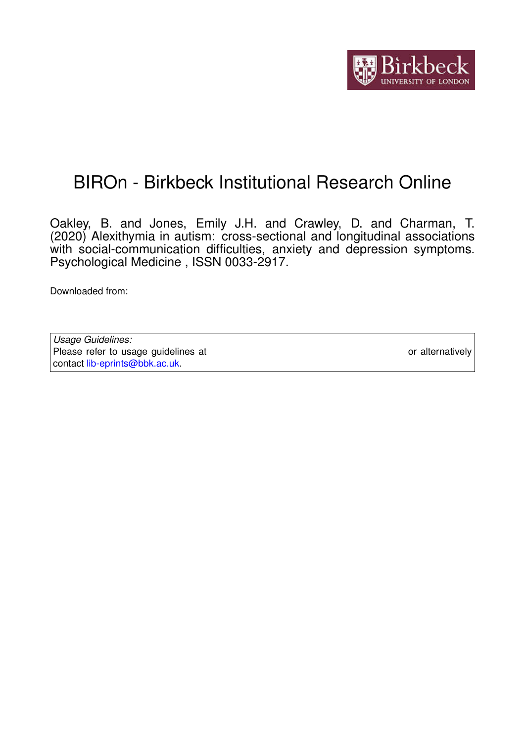

# BIROn - Birkbeck Institutional Research Online

Oakley, B. and Jones, Emily J.H. and Crawley, D. and Charman, T. (2020) Alexithymia in autism: cross-sectional and longitudinal associations with social-communication difficulties, anxiety and depression symptoms. Psychological Medicine , ISSN 0033-2917.

Downloaded from: <https://eprints.bbk.ac.uk/id/eprint/40995/>

*Usage Guidelines:* Please refer to usage guidelines at <https://eprints.bbk.ac.uk/policies.html> or alternatively contact [lib-eprints@bbk.ac.uk.](mailto:lib-eprints@bbk.ac.uk)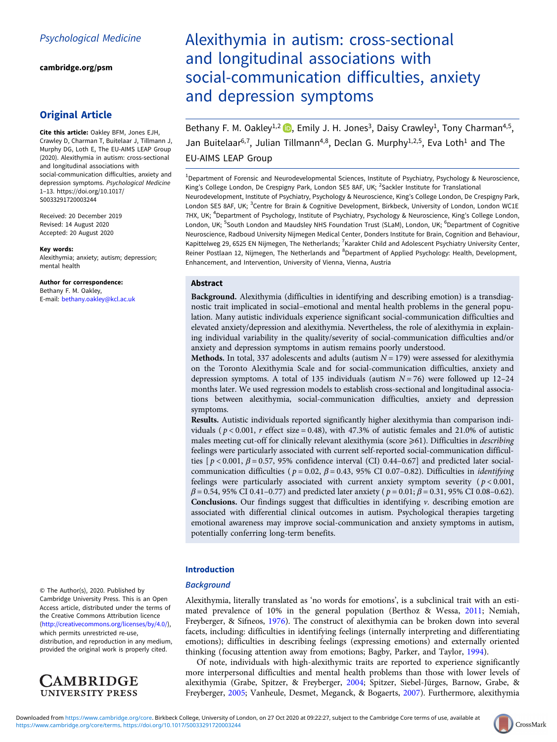[cambridge.org/psm](https://www.cambridge.org/psm)

## Original Article

Cite this article: Oakley BFM, Jones EJH, Crawley D, Charman T, Buitelaar J, Tillmann J, Murphy DG, Loth E, The EU-AIMS LEAP Group (2020). Alexithymia in autism: cross-sectional and longitudinal associations with social-communication difficulties, anxiety and depression symptoms. Psychological Medicine 1–13. [https://doi.org/10.1017/](https://doi.org/10.1017/S0033291720003244) [S0033291720003244](https://doi.org/10.1017/S0033291720003244)

Received: 20 December 2019 Revised: 14 August 2020 Accepted: 20 August 2020

#### Key words:

Alexithymia; anxiety; autism; depression; mental health

Author for correspondence: Bethany F. M. Oakley,

E-mail: [bethany.oakley@kcl.ac.uk](mailto:bethany.oakley@kcl.ac.uk)

## Alexithymia in autism: cross-sectional and longitudinal associations with social-communication difficulties, anxiety and depression symptoms

Bethany F. M. Oakley<sup>1[,](https://orcid.org/0000-0002-1968-134X)2</sup>  $\bullet$ , Emily J. H. Jones<sup>3</sup>, Daisy Crawley<sup>1</sup>, Tony Charman<sup>4,5</sup>, Jan Buitelaar<sup>6,7</sup>, Julian Tillmann<sup>4,8</sup>, Declan G. Murphy<sup>1,2,5</sup>, Eva Loth<sup>1</sup> and The EU-AIMS LEAP Group

<sup>1</sup>Department of Forensic and Neurodevelopmental Sciences, Institute of Psychiatry, Psychology & Neuroscience, King's College London, De Crespigny Park, London SE5 8AF, UK; <sup>2</sup>Sackler Institute for Translational Neurodevelopment, Institute of Psychiatry, Psychology & Neuroscience, King's College London, De Crespigny Park, London SE5 8AF, UK; <sup>3</sup>Centre for Brain & Cognitive Development, Birkbeck, University of London, London WC1E 7HX, UK; <sup>4</sup>Department of Psychology, Institute of Psychiatry, Psychology & Neuroscience, King's College London, London, UK; <sup>5</sup>South London and Maudsley NHS Foundation Trust (SLaM), London, UK; <sup>6</sup>Department of Cognitive Neuroscience, Radboud University Nijmegen Medical Center, Donders Institute for Brain, Cognition and Behaviour, Kapittelweg 29, 6525 EN Nijmegen, The Netherlands; <sup>7</sup>Karakter Child and Adolescent Psychiatry University Center, Reiner Postlaan 12, Nijmegen, The Netherlands and <sup>8</sup>Department of Applied Psychology: Health, Development, Enhancement, and Intervention, University of Vienna, Vienna, Austria

## **Abstract**

Background. Alexithymia (difficulties in identifying and describing emotion) is a transdiagnostic trait implicated in social–emotional and mental health problems in the general population. Many autistic individuals experience significant social-communication difficulties and elevated anxiety/depression and alexithymia. Nevertheless, the role of alexithymia in explaining individual variability in the quality/severity of social-communication difficulties and/or anxiety and depression symptoms in autism remains poorly understood.

**Methods.** In total, 337 adolescents and adults (autism  $N = 179$ ) were assessed for alexithymia on the Toronto Alexithymia Scale and for social-communication difficulties, anxiety and depression symptoms. A total of 135 individuals (autism  $N = 76$ ) were followed up 12-24 months later. We used regression models to establish cross-sectional and longitudinal associations between alexithymia, social-communication difficulties, anxiety and depression symptoms.

Results. Autistic individuals reported significantly higher alexithymia than comparison individuals ( $p < 0.001$ , r effect size = 0.48), with 47.3% of autistic females and 21.0% of autistic males meeting cut-off for clinically relevant alexithymia (score  $\geq 61$ ). Difficulties in *describing* feelings were particularly associated with current self-reported social-communication difficulties  $[p < 0.001, \beta = 0.57, 95\%$  confidence interval (CI) 0.44–0.67] and predicted later socialcommunication difficulties ( $p = 0.02$ ,  $\beta = 0.43$ , 95% CI 0.07–0.82). Difficulties in *identifying* feelings were particularly associated with current anxiety symptom severity ( $p < 0.001$ ,  $\beta = 0.54$ , 95% CI 0.41–0.77) and predicted later anxiety ( $p = 0.01$ ;  $\beta = 0.31$ , 95% CI 0.08–0.62). **Conclusions.** Our findings suggest that difficulties in identifying  $\nu$ , describing emotion are associated with differential clinical outcomes in autism. Psychological therapies targeting emotional awareness may improve social-communication and anxiety symptoms in autism, potentially conferring long-term benefits.

## Introduction

## **Background**

Alexithymia, literally translated as 'no words for emotions', is a subclinical trait with an estimated prevalence of 10% in the general population (Berthoz & Wessa, [2011;](#page-11-0) Nemiah, Freyberger, & Sifneos, [1976](#page-12-0)). The construct of alexithymia can be broken down into several facets, including: difficulties in identifying feelings (internally interpreting and differentiating emotions); difficulties in describing feelings (expressing emotions) and externally oriented thinking (focusing attention away from emotions; Bagby, Parker, and Taylor, [1994](#page-11-0)).

Of note, individuals with high-alexithymic traits are reported to experience significantly more interpersonal difficulties and mental health problems than those with lower levels of alexithymia (Grabe, Spitzer, & Freyberger, [2004;](#page-11-0) Spitzer, Siebel-Jürges, Barnow, Grabe, & Freyberger, [2005](#page-13-0); Vanheule, Desmet, Meganck, & Bogaerts, [2007\)](#page-13-0). Furthermore, alexithymia

© The Author(s), 2020. Published by Cambridge University Press. This is an Open Access article, distributed under the terms of the Creative Commons Attribution licence ([http://creativecommons.org/licenses/by/4.0/\)](http://creativecommons.org/licenses/by/4.0/), which permits unrestricted re-use,

distribution, and reproduction in any medium, provided the original work is properly cited.



CrossMark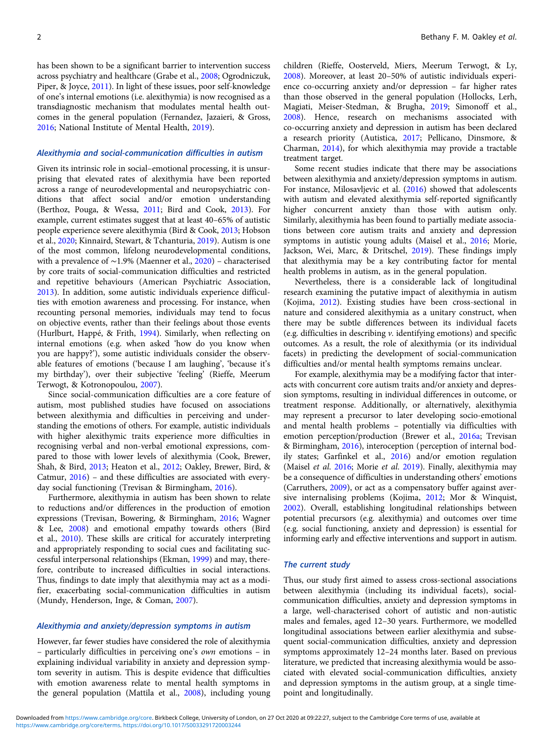has been shown to be a significant barrier to intervention success across psychiatry and healthcare (Grabe et al., [2008](#page-11-0); Ogrodniczuk, Piper, & Joyce, [2011](#page-12-0)). In light of these issues, poor self-knowledge of one's internal emotions (i.e. alexithymia) is now recognised as a transdiagnostic mechanism that modulates mental health outcomes in the general population (Fernandez, Jazaieri, & Gross, [2016;](#page-11-0) National Institute of Mental Health, [2019\)](#page-12-0).

#### Alexithymia and social-communication difficulties in autism

Given its intrinsic role in social–emotional processing, it is unsurprising that elevated rates of alexithymia have been reported across a range of neurodevelopmental and neuropsychiatric conditions that affect social and/or emotion understanding (Berthoz, Pouga, & Wessa, [2011;](#page-11-0) Bird and Cook, [2013\)](#page-11-0). For example, current estimates suggest that at least 40–65% of autistic people experience severe alexithymia (Bird & Cook, [2013;](#page-11-0) Hobson et al., [2020](#page-12-0); Kinnaird, Stewart, & Tchanturia, [2019](#page-12-0)). Autism is one of the most common, lifelong neurodevelopmental conditions, with a prevalence of ∼1.9% (Maenner et al., [2020](#page-12-0)) – characterised by core traits of social-communication difficulties and restricted and repetitive behaviours (American Psychiatric Association, [2013\)](#page-11-0). In addition, some autistic individuals experience difficulties with emotion awareness and processing. For instance, when recounting personal memories, individuals may tend to focus on objective events, rather than their feelings about those events (Hurlburt, Happé, & Frith, [1994](#page-12-0)). Similarly, when reflecting on internal emotions (e.g. when asked 'how do you know when you are happy?'), some autistic individuals consider the observable features of emotions ('because I am laughing', 'because it's my birthday'), over their subjective 'feeling' (Rieffe, Meerum Terwogt, & Kotronopoulou, [2007](#page-13-0)).

Since social-communication difficulties are a core feature of autism, most published studies have focused on associations between alexithymia and difficulties in perceiving and understanding the emotions of others. For example, autistic individuals with higher alexithymic traits experience more difficulties in recognising verbal and non-verbal emotional expressions, compared to those with lower levels of alexithymia (Cook, Brewer, Shah, & Bird, [2013;](#page-11-0) Heaton et al., [2012](#page-12-0); Oakley, Brewer, Bird, & Catmur, [2016](#page-12-0)) – and these difficulties are associated with everyday social functioning (Trevisan & Birmingham, [2016](#page-13-0)).

Furthermore, alexithymia in autism has been shown to relate to reductions and/or differences in the production of emotion expressions (Trevisan, Bowering, & Birmingham, [2016](#page-13-0); Wagner & Lee, [2008\)](#page-13-0) and emotional empathy towards others (Bird et al., [2010\)](#page-11-0). These skills are critical for accurately interpreting and appropriately responding to social cues and facilitating successful interpersonal relationships (Ekman, [1999\)](#page-11-0) and may, therefore, contribute to increased difficulties in social interactions. Thus, findings to date imply that alexithymia may act as a modifier, exacerbating social-communication difficulties in autism (Mundy, Henderson, Inge, & Coman, [2007](#page-12-0)).

## Alexithymia and anxiety/depression symptoms in autism

However, far fewer studies have considered the role of alexithymia – particularly difficulties in perceiving one's own emotions – in explaining individual variability in anxiety and depression symptom severity in autism. This is despite evidence that difficulties with emotion awareness relate to mental health symptoms in the general population (Mattila et al., [2008\)](#page-12-0), including young children (Rieffe, Oosterveld, Miers, Meerum Terwogt, & Ly, [2008\)](#page-13-0). Moreover, at least 20–50% of autistic individuals experience co-occurring anxiety and/or depression – far higher rates than those observed in the general population (Hollocks, Lerh, Magiati, Meiser-Stedman, & Brugha, [2019;](#page-12-0) Simonoff et al., [2008\)](#page-13-0). Hence, research on mechanisms associated with co-occurring anxiety and depression in autism has been declared a research priority (Autistica, [2017](#page-11-0); Pellicano, Dinsmore, & Charman, [2014](#page-13-0)), for which alexithymia may provide a tractable treatment target.

Some recent studies indicate that there may be associations between alexithymia and anxiety/depression symptoms in autism. For instance, Milosavljevic et al. ([2016\)](#page-12-0) showed that adolescents with autism and elevated alexithymia self-reported significantly higher concurrent anxiety than those with autism only. Similarly, alexithymia has been found to partially mediate associations between core autism traits and anxiety and depression symptoms in autistic young adults (Maisel et al., [2016](#page-12-0); Morie, Jackson, Wei, Marc, & Dritschel, [2019\)](#page-12-0). These findings imply that alexithymia may be a key contributing factor for mental health problems in autism, as in the general population.

Nevertheless, there is a considerable lack of longitudinal research examining the putative impact of alexithymia in autism (Kojima, [2012](#page-12-0)). Existing studies have been cross-sectional in nature and considered alexithymia as a unitary construct, when there may be subtle differences between its individual facets (e.g. difficulties in describing v. identifying emotions) and specific outcomes. As a result, the role of alexithymia (or its individual facets) in predicting the development of social-communication difficulties and/or mental health symptoms remains unclear.

For example, alexithymia may be a modifying factor that interacts with concurrent core autism traits and/or anxiety and depression symptoms, resulting in individual differences in outcome, or treatment response. Additionally, or alternatively, alexithymia may represent a precursor to later developing socio-emotional and mental health problems – potentially via difficulties with emotion perception/production (Brewer et al., [2016a](#page-11-0); Trevisan & Birmingham, [2016\)](#page-13-0), interoception (perception of internal bodily states; Garfinkel et al., [2016](#page-11-0)) and/or emotion regulation (Maisel et al. [2016;](#page-12-0) Morie et al. [2019](#page-12-0)). Finally, alexithymia may be a consequence of difficulties in understanding others' emotions (Carruthers, [2009](#page-11-0)), or act as a compensatory buffer against aversive internalising problems (Kojima, [2012;](#page-12-0) Mor & Winquist, [2002\)](#page-12-0). Overall, establishing longitudinal relationships between potential precursors (e.g. alexithymia) and outcomes over time (e.g. social functioning, anxiety and depression) is essential for informing early and effective interventions and support in autism.

#### The current study

Thus, our study first aimed to assess cross-sectional associations between alexithymia (including its individual facets), socialcommunication difficulties, anxiety and depression symptoms in a large, well-characterised cohort of autistic and non-autistic males and females, aged 12–30 years. Furthermore, we modelled longitudinal associations between earlier alexithymia and subsequent social-communication difficulties, anxiety and depression symptoms approximately 12–24 months later. Based on previous literature, we predicted that increasing alexithymia would be associated with elevated social-communication difficulties, anxiety and depression symptoms in the autism group, at a single timepoint and longitudinally.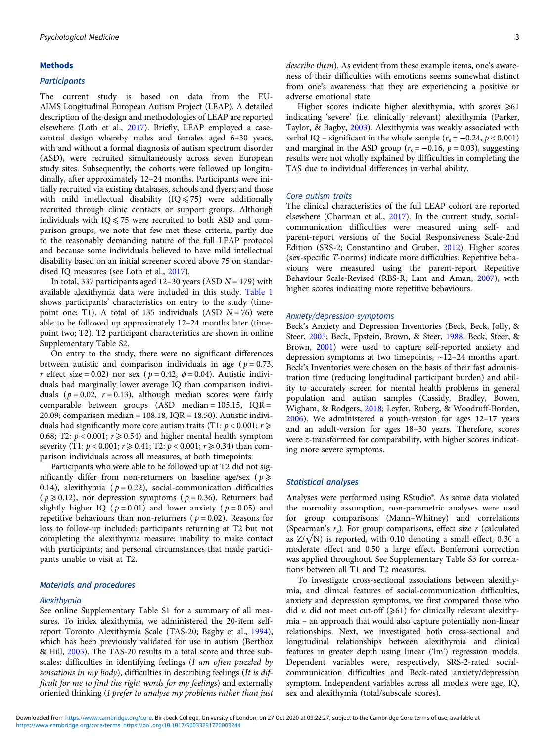#### Methods

#### **Participants**

The current study is based on data from the EU-AIMS Longitudinal European Autism Project (LEAP). A detailed description of the design and methodologies of LEAP are reported elsewhere (Loth et al., [2017](#page-12-0)). Briefly, LEAP employed a casecontrol design whereby males and females aged 6–30 years, with and without a formal diagnosis of autism spectrum disorder (ASD), were recruited simultaneously across seven European study sites. Subsequently, the cohorts were followed up longitudinally, after approximately 12–24 months. Participants were initially recruited via existing databases, schools and flyers; and those with mild intellectual disability  $(IQ \le 75)$  were additionally recruited through clinic contacts or support groups. Although individuals with  $IO \le 75$  were recruited to both ASD and comparison groups, we note that few met these criteria, partly due to the reasonably demanding nature of the full LEAP protocol and because some individuals believed to have mild intellectual disability based on an initial screener scored above 75 on standardised IQ measures (see Loth et al., [2017\)](#page-12-0).

In total, 337 participants aged 12–30 years (ASD  $N = 179$ ) with available alexithymia data were included in this study. [Table 1](#page-4-0) shows participants' characteristics on entry to the study (timepoint one; T1). A total of 135 individuals (ASD  $N = 76$ ) were able to be followed up approximately 12–24 months later (timepoint two; T2). T2 participant characteristics are shown in online Supplementary Table S2.

On entry to the study, there were no significant differences between autistic and comparison individuals in age ( $p = 0.73$ , r effect size = 0.02) nor sex ( $p = 0.42$ ,  $\phi = 0.04$ ). Autistic individuals had marginally lower average IQ than comparison individuals ( $p = 0.02$ ,  $r = 0.13$ ), although median scores were fairly comparable between groups  $(ASD \text{ median} = 105.15, IQR =$ 20.09; comparison median =  $108.18$ , IQR =  $18.50$ ). Autistic individuals had significantly more core autism traits (T1:  $p < 0.001$ ;  $r \geq$ 0.68; T2:  $p < 0.001$ ;  $r \ge 0.54$ ) and higher mental health symptom severity (T1:  $p < 0.001$ ;  $r \ge 0.41$ ; T2:  $p < 0.001$ ;  $r \ge 0.34$ ) than comparison individuals across all measures, at both timepoints.

Participants who were able to be followed up at T2 did not significantly differ from non-returners on baseline age/sex ( $p \geq$ 0.14), alexithymia ( $p = 0.22$ ), social-communication difficulties  $(p \ge 0.12)$ , nor depression symptoms  $(p = 0.36)$ . Returners had slightly higher IQ ( $p = 0.01$ ) and lower anxiety ( $p = 0.05$ ) and repetitive behaviours than non-returners ( $p = 0.02$ ). Reasons for loss to follow-up included: participants returning at T2 but not completing the alexithymia measure; inability to make contact with participants; and personal circumstances that made participants unable to visit at T2.

## Materials and procedures

#### Alexithymia

See online Supplementary Table S1 for a summary of all measures. To index alexithymia, we administered the 20-item selfreport Toronto Alexithymia Scale (TAS-20; Bagby et al., [1994\)](#page-11-0), which has been previously validated for use in autism (Berthoz & Hill, [2005](#page-11-0)). The TAS-20 results in a total score and three subscales: difficulties in identifying feelings (I am often puzzled by sensations in my body), difficulties in describing feelings (It is difficult for me to find the right words for my feelings) and externally oriented thinking (I prefer to analyse my problems rather than just describe them). As evident from these example items, one's awareness of their difficulties with emotions seems somewhat distinct from one's awareness that they are experiencing a positive or adverse emotional state.

Higher scores indicate higher alexithymia, with scores  $\geq 61$ indicating 'severe' (i.e. clinically relevant) alexithymia (Parker, Taylor, & Bagby, [2003\)](#page-13-0). Alexithymia was weakly associated with verbal IQ – significant in the whole sample ( $r_s = -0.24$ ,  $p < 0.001$ ) and marginal in the ASD group ( $r_s = -0.16$ ,  $p = 0.03$ ), suggesting results were not wholly explained by difficulties in completing the TAS due to individual differences in verbal ability.

#### Core autism traits

The clinical characteristics of the full LEAP cohort are reported elsewhere (Charman et al., [2017](#page-11-0)). In the current study, socialcommunication difficulties were measured using self- and parent-report versions of the Social Responsiveness Scale-2nd Edition (SRS-2; Constantino and Gruber, [2012](#page-11-0)). Higher scores (sex-specific T-norms) indicate more difficulties. Repetitive behaviours were measured using the parent-report Repetitive Behaviour Scale-Revised (RBS-R; Lam and Aman, [2007\)](#page-12-0), with higher scores indicating more repetitive behaviours.

#### Anxiety/depression symptoms

Beck's Anxiety and Depression Inventories (Beck, Beck, Jolly, & Steer, [2005;](#page-11-0) Beck, Epstein, Brown, & Steer, [1988](#page-11-0); Beck, Steer, & Brown, [2001](#page-11-0)) were used to capture self-reported anxiety and depression symptoms at two timepoints, ∼12–24 months apart. Beck's Inventories were chosen on the basis of their fast administration time (reducing longitudinal participant burden) and ability to accurately screen for mental health problems in general population and autism samples (Cassidy, Bradley, Bowen, Wigham, & Rodgers, [2018](#page-11-0); Leyfer, Ruberg, & Woodruff-Borden, [2006](#page-12-0)). We administered a youth-version for ages 12–17 years and an adult-version for ages 18–30 years. Therefore, scores were z-transformed for comparability, with higher scores indicating more severe symptoms.

#### Statistical analyses

Analyses were performed using RStudio®. As some data violated the normality assumption, non-parametric analyses were used for group comparisons (Mann–Whitney) and correlations (Spearman's  $r_s$ ). For group comparisons, effect size r (calculated as  $Z/\sqrt{N}$ ) is reported, with 0.10 denoting a small effect, 0.30 a moderate effect and 0.50 a large effect. Bonferroni correction was applied throughout. See Supplementary Table S3 for correlations between all T1 and T2 measures.

To investigate cross-sectional associations between alexithymia, and clinical features of social-communication difficulties, anxiety and depression symptoms, we first compared those who did v. did not meet cut-off  $(\geq 61)$  for clinically relevant alexithymia – an approach that would also capture potentially non-linear relationships. Next, we investigated both cross-sectional and longitudinal relationships between alexithymia and clinical features in greater depth using linear ('lm') regression models. Dependent variables were, respectively, SRS-2-rated socialcommunication difficulties and Beck-rated anxiety/depression symptom. Independent variables across all models were age, IQ, sex and alexithymia (total/subscale scores).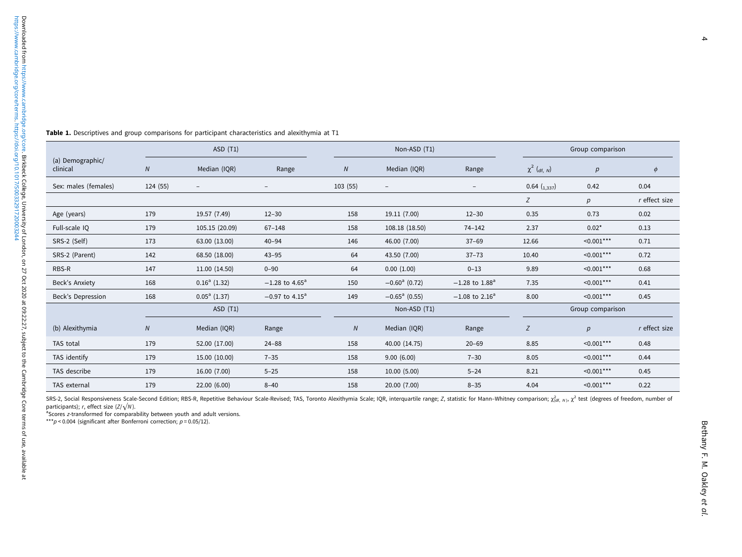|                              | ASD(T1)    |                          |                              | Non-ASD (T1) |                             |                              | Group comparison              |                  |               |
|------------------------------|------------|--------------------------|------------------------------|--------------|-----------------------------|------------------------------|-------------------------------|------------------|---------------|
| (a) Demographic/<br>clinical | ${\cal N}$ | Median (IQR)             | Range                        | ${\cal N}$   | Median (IQR)                | Range                        | $\chi^2$ ( <sub>df, N</sub> ) | $\boldsymbol{p}$ | $\phi$        |
| Sex: males (females)         | 124 (55)   | $\overline{\phantom{m}}$ | $\overline{\phantom{a}}$     | 103(55)      | $\overline{\phantom{a}}$    | $\overline{\phantom{m}}$     | 0.64 $\binom{1,337}{}$        | 0.42             | 0.04          |
|                              |            |                          |                              |              |                             |                              | Ζ                             | p                | r effect size |
| Age (years)                  | 179        | 19.57 (7.49)             | $12 - 30$                    | 158          | 19.11 (7.00)                | $12 - 30$                    | 0.35                          | 0.73             | 0.02          |
| Full-scale IQ                | 179        | 105.15 (20.09)           | $67 - 148$                   | 158          | 108.18 (18.50)              | 74-142                       | 2.37                          | $0.02*$          | 0.13          |
| SRS-2 (Self)                 | 173        | 63.00 (13.00)            | $40 - 94$                    | 146          | 46.00 (7.00)                | $37 - 69$                    | 12.66                         | $\leq 0.001$ *** | 0.71          |
| SRS-2 (Parent)               | 142        | 68.50 (18.00)            | $43 - 95$                    | 64           | 43.50 (7.00)                | $37 - 73$                    | 10.40                         | $< 0.001$ ***    | 0.72          |
| RBS-R                        | 147        | 11.00 (14.50)            | $0 - 90$                     | 64           | 0.00(1.00)                  | $0 - 13$                     | 9.89                          | $\leq 0.001$ *** | 0.68          |
| Beck's Anxiety               | 168        | $0.16^a$ (1.32)          | $-1.28$ to 4.65 <sup>a</sup> | 150          | $-0.60$ <sup>a</sup> (0.72) | $-1.28$ to $1.88^a$          | 7.35                          | $< 0.001$ ***    | 0.41          |
| Beck's Depression            | 168        | $0.05^a$ (1.37)          | $-0.97$ to $4.15^{\circ}$    | 149          | $-0.65$ <sup>a</sup> (0.55) | $-1.08$ to 2.16 <sup>a</sup> | 8.00                          | $\leq 0.001$ *** | 0.45          |
|                              | ASD(T1)    |                          | Non-ASD (T1)                 |              |                             | Group comparison             |                               |                  |               |
| (b) Alexithymia              | ${\cal N}$ | Median (IQR)             | Range                        | ${\cal N}$   | Median (IQR)                | Range                        | Z                             | $p_{\parallel}$  | r effect size |
| TAS total                    | 179        | 52.00 (17.00)            | $24 - 88$                    | 158          | 40.00 (14.75)               | $20 - 69$                    | 8.85                          | $\leq 0.001$ *** | 0.48          |
| TAS identify                 | 179        | 15.00 (10.00)            | $7 - 35$                     | 158          | 9.00(6.00)                  | $7 - 30$                     | 8.05                          | $\leq 0.001$ *** | 0.44          |
| TAS describe                 | 179        | 16.00 (7.00)             | $5 - 25$                     | 158          | 10.00(5.00)                 | $5 - 24$                     | 8.21                          | $< 0.001$ ***    | 0.45          |
| TAS external                 | 179        | 22.00 (6.00)             | $8 - 40$                     | 158          | 20.00 (7.00)                | $8 - 35$                     | 4.04                          | $< 0.001$ ***    | 0.22          |

<span id="page-4-0"></span>Table 1. Descriptives and group comparisons for participant characteristics and alexithymia at T1

SRS-2, Social Responsiveness Scale-Second Edition; RBS-R, Repetitive Behaviour Scale-Revised; TAS, Toronto Alexithymia Scale; IQR, interquartile range; Z, statistic for Mann-Whitney comparison;  $\chi^2_{\text{cif. } N}$ ,  $\chi^2$  te participants);  $r$ , effect size ( $Z/\sqrt{N}$ ).

<sup>a</sup>Scores z-transformed for comparability between youth and adult versions.

\*\*\*p < 0.004 (significant after Bonferroni correction;  $p = 0.05/12$ ).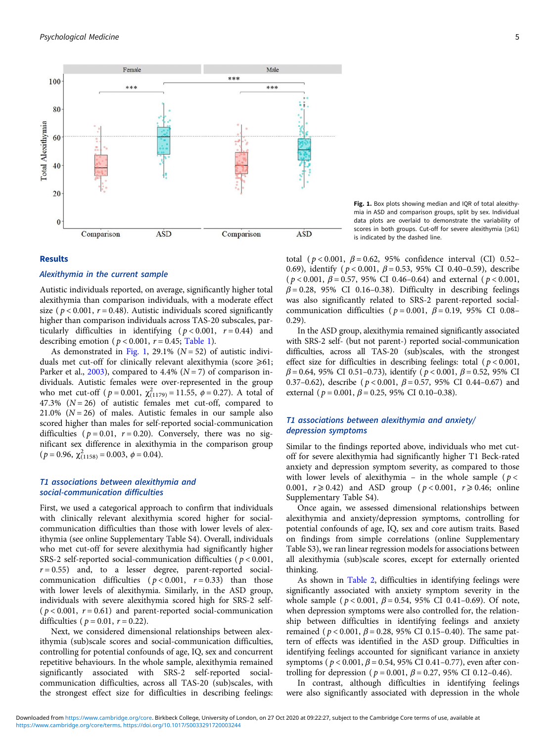

#### Results

## Alexithymia in the current sample

Autistic individuals reported, on average, significantly higher total alexithymia than comparison individuals, with a moderate effect size ( $p < 0.001$ ,  $r = 0.48$ ). Autistic individuals scored significantly higher than comparison individuals across TAS-20 subscales, particularly difficulties in identifying ( $p < 0.001$ ,  $r = 0.44$ ) and describing emotion ( $p < 0.001$ ,  $r = 0.45$ ; [Table 1\)](#page-4-0).

As demonstrated in Fig. 1, 29.1% ( $N = 52$ ) of autistic individuals met cut-off for clinically relevant alexithymia (score  $\geq 61$ ; Parker et al., [2003\)](#page-13-0), compared to 4.4% ( $N = 7$ ) of comparison individuals. Autistic females were over-represented in the group who met cut-off ( $p = 0.001$ ,  $\chi^{2}_{(1179)} = 11.55$ ,  $\phi = 0.27$ ). A total of 47.3%  $(N = 26)$  of autistic females met cut-off, compared to 21.0%  $(N = 26)$  of males. Autistic females in our sample also scored higher than males for self-reported social-communication difficulties ( $p = 0.01$ ,  $r = 0.20$ ). Conversely, there was no significant sex difference in alexithymia in the comparison group  $(p = 0.96, \chi_{(1158)}^2 = 0.003, \phi = 0.04).$ 

## T1 associations between alexithymia and social-communication difficulties

First, we used a categorical approach to confirm that individuals with clinically relevant alexithymia scored higher for socialcommunication difficulties than those with lower levels of alexithymia (see online Supplementary Table S4). Overall, individuals who met cut-off for severe alexithymia had significantly higher SRS-2 self-reported social-communication difficulties ( $p < 0.001$ ,  $r = 0.55$ ) and, to a lesser degree, parent-reported socialcommunication difficulties ( $p < 0.001$ ,  $r = 0.33$ ) than those with lower levels of alexithymia. Similarly, in the ASD group, individuals with severe alexithymia scored high for SRS-2 self- ( $p < 0.001$ ,  $r = 0.61$ ) and parent-reported social-communication difficulties ( $p = 0.01$ ,  $r = 0.22$ ).

Next, we considered dimensional relationships between alexithymia (sub)scale scores and social-communication difficulties, controlling for potential confounds of age, IQ, sex and concurrent repetitive behaviours. In the whole sample, alexithymia remained significantly associated with SRS-2 self-reported socialcommunication difficulties, across all TAS-20 (sub)scales, with the strongest effect size for difficulties in describing feelings:

Fig. 1. Box plots showing median and IQR of total alexithymia in ASD and comparison groups, split by sex. Individual data plots are overlaid to demonstrate the variability of scores in both groups. Cut-off for severe alexithymia  $(\geq 61)$ is indicated by the dashed line.

total ( $p < 0.001$ ,  $\beta = 0.62$ , 95% confidence interval (CI) 0.52– 0.69), identify ( $p < 0.001$ ,  $\beta = 0.53$ , 95% CI 0.40-0.59), describe ( $p < 0.001$ ,  $\beta = 0.57$ , 95% CI 0.46-0.64) and external ( $p < 0.001$ ,  $\beta$  = 0.28, 95% CI 0.16–0.38). Difficulty in describing feelings was also significantly related to SRS-2 parent-reported socialcommunication difficulties ( $p = 0.001$ ,  $\beta = 0.19$ , 95% CI 0.08– 0.29).

In the ASD group, alexithymia remained significantly associated with SRS-2 self- (but not parent-) reported social-communication difficulties, across all TAS-20 (sub)scales, with the strongest effect size for difficulties in describing feelings: total ( $p < 0.001$ ,  $\beta$  = 0.64, 95% CI 0.51–0.73), identify ( $p < 0.001$ ,  $\beta$  = 0.52, 95% CI 0.37–0.62), describe ( $p < 0.001$ ,  $\beta = 0.57$ , 95% CI 0.44–0.67) and external ( $p = 0.001$ ,  $\beta = 0.25$ , 95% CI 0.10-0.38).

## T1 associations between alexithymia and anxiety/ depression symptoms

Similar to the findings reported above, individuals who met cutoff for severe alexithymia had significantly higher T1 Beck-rated anxiety and depression symptom severity, as compared to those with lower levels of alexithymia – in the whole sample ( $p <$ 0.001,  $r \ge 0.42$ ) and ASD group ( $p < 0.001$ ,  $r \ge 0.46$ ; online Supplementary Table S4).

Once again, we assessed dimensional relationships between alexithymia and anxiety/depression symptoms, controlling for potential confounds of age, IQ, sex and core autism traits. Based on findings from simple correlations (online Supplementary Table S3), we ran linear regression models for associations between all alexithymia (sub)scale scores, except for externally oriented thinking.

As shown in [Table 2,](#page-6-0) difficulties in identifying feelings were significantly associated with anxiety symptom severity in the whole sample ( $p < 0.001$ ,  $\beta = 0.54$ , 95% CI 0.41-0.69). Of note, when depression symptoms were also controlled for, the relationship between difficulties in identifying feelings and anxiety remained ( $p < 0.001$ ,  $β = 0.28$ , 95% CI 0.15-0.40). The same pattern of effects was identified in the ASD group. Difficulties in identifying feelings accounted for significant variance in anxiety symptoms ( $p < 0.001$ ,  $β = 0.54$ , 95% CI 0.41-0.77), even after controlling for depression ( $p = 0.001$ ,  $\beta = 0.27$ , 95% CI 0.12-0.46).

In contrast, although difficulties in identifying feelings were also significantly associated with depression in the whole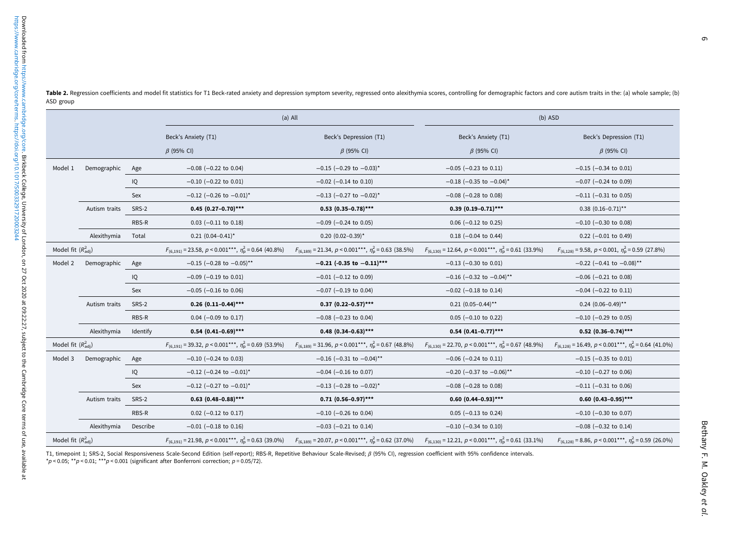|                        |                                                                                                    |                                                                         |                                                                       | (b) ASD                                                                 |                                                                          |  |  |
|------------------------|----------------------------------------------------------------------------------------------------|-------------------------------------------------------------------------|-----------------------------------------------------------------------|-------------------------------------------------------------------------|--------------------------------------------------------------------------|--|--|
|                        |                                                                                                    | Beck's Anxiety (T1)                                                     | Beck's Depression (T1)                                                | Beck's Anxiety (T1)                                                     | Beck's Depression (T1)<br>$\beta$ (95% CI)                               |  |  |
|                        |                                                                                                    | $\beta$ (95% CI)                                                        | $\beta$ (95% CI)                                                      | $\beta$ (95% CI)                                                        |                                                                          |  |  |
| Model 1<br>Demographic |                                                                                                    | $-0.08$ ( $-0.22$ to 0.04)                                              | $-0.15$ (-0.29 to $-0.03$ )*                                          | $-0.05$ ( $-0.23$ to 0.11)                                              | $-0.15$ ( $-0.34$ to 0.01)                                               |  |  |
|                        | IQ                                                                                                 | $-0.10$ ( $-0.22$ to 0.01)                                              | $-0.02$ ( $-0.14$ to 0.10)                                            | $-0.18$ (-0.35 to -0.04) <sup>*</sup>                                   | $-0.07$ ( $-0.24$ to 0.09)                                               |  |  |
|                        | Sex                                                                                                | $-0.12$ (-0.26 to $-0.01$ )*                                            | $-0.13$ (-0.27 to $-0.02$ )*                                          | $-0.08$ ( $-0.28$ to 0.08)                                              | $-0.11$ ( $-0.31$ to 0.05)                                               |  |  |
| Autism traits          |                                                                                                    | $0.45$ (0.27-0.70)***                                                   | $0.53$ $(0.35-0.78)$ ***                                              | $0.39$ $(0.19-0.71)$ ***                                                | $0.38$ $(0.16-0.71)$ **                                                  |  |  |
|                        |                                                                                                    | $0.03$ (-0.11 to 0.18)                                                  | $-0.09$ ( $-0.24$ to 0.05)                                            | $0.06$ (-0.12 to 0.25)                                                  | $-0.10$ ( $-0.30$ to 0.08)                                               |  |  |
| Alexithymia            | Total                                                                                              | $0.21$ $(0.04 - 0.41)^*$                                                | $0.20$ $(0.02-0.39)$ *                                                | $0.18$ (-0.04 to 0.44)                                                  | $0.22$ (-0.01 to 0.49)                                                   |  |  |
|                        |                                                                                                    | $F_{(6.191)}$ = 23.58, p < 0.001***, $\eta_p^2$ = 0.64 (40.8%)          | $F_{(6,189)} = 21.34, p < 0.001***$ , $\eta_p^2 = 0.63$ (38.5%)       | $F_{(6,130)} = 12.64, p < 0.001***$ , $\eta_{\rm p}^2 = 0.61$ (33.9%)   | $F_{(6.128)} = 9.58$ , $p < 0.001$ , $\eta_p^2 = 0.59$ (27.8%)           |  |  |
| Model 2<br>Demographic | Age                                                                                                | $-0.15$ (-0.28 to $-0.05$ )**                                           | $-0.21$ (-0.35 to $-0.11$ )***                                        | $-0.13$ ( $-0.30$ to 0.01)                                              | $-0.22$ (-0.41 to $-0.08$ ) <sup>**</sup>                                |  |  |
|                        | IQ                                                                                                 | $-0.09$ ( $-0.19$ to 0.01)                                              | $-0.01$ ( $-0.12$ to 0.09)                                            | $-0.16$ (-0.32 to $-0.04$ )**                                           | $-0.06$ ( $-0.21$ to 0.08)                                               |  |  |
|                        | Sex                                                                                                | $-0.05$ ( $-0.16$ to 0.06)                                              | $-0.07$ ( $-0.19$ to 0.04)                                            | $-0.02$ ( $-0.18$ to 0.14)                                              | $-0.04$ ( $-0.22$ to 0.11)                                               |  |  |
| Autism traits          |                                                                                                    | $0.26$ (0.11-0.44)***                                                   | $0.37$ (0.22-0.57)***                                                 | $0.21$ $(0.05-0.44)$ **                                                 | $0.24$ (0.06-0.49)**                                                     |  |  |
|                        | RBS-R                                                                                              | $0.04$ (-0.09 to 0.17)                                                  | $-0.08$ ( $-0.23$ to 0.04)                                            | $0.05$ (-0.10 to 0.22)                                                  | $-0.10$ ( $-0.29$ to 0.05)                                               |  |  |
| Alexithymia            | Identify                                                                                           | $0.54$ $(0.41-0.69)$ ***                                                | $0.48$ (0.34-0.63)***                                                 | $0.54$ $(0.41 - 0.77)$ ***                                              | $0.52$ (0.36-0.74)***                                                    |  |  |
|                        |                                                                                                    | $F_{(6.191)}$ = 39.32, $p < 0.001***$ , $\eta_{\rm p}^2$ = 0.69 (53.9%) | $F_{(6,189)} = 31.96, p < 0.001***$ , $\eta_{\rm p}^2 = 0.67$ (48.8%) | $F_{(6,130)}$ = 22.70, $p < 0.001***$ , $\eta_{\rm p}^2$ = 0.67 (48.9%) | $F_{(6,128)} = 16.49$ , $p < 0.001***$ , $\eta_{\rm p}^2 = 0.64$ (41.0%) |  |  |
| Model 3<br>Demographic |                                                                                                    | $-0.10$ ( $-0.24$ to 0.03)                                              | $-0.16$ (-0.31 to $-0.04$ ) <sup>**</sup>                             | $-0.06$ ( $-0.24$ to 0.11)                                              | $-0.15$ ( $-0.35$ to 0.01)                                               |  |  |
|                        | IQ                                                                                                 | $-0.12$ (-0.24 to $-0.01$ )*                                            | $-0.04$ ( $-0.16$ to 0.07)                                            | $-0.20$ (-0.37 to $-0.06$ ) <sup>**</sup>                               | $-0.10$ ( $-0.27$ to 0.06)                                               |  |  |
|                        | Sex                                                                                                | $-0.12$ (-0.27 to $-0.01$ )*                                            | $-0.13$ (-0.28 to $-0.02$ )*                                          | $-0.08$ ( $-0.28$ to 0.08)                                              | $-0.11$ ( $-0.31$ to 0.06)                                               |  |  |
| Autism traits          |                                                                                                    | $0.63$ $(0.48-0.88)$ ***                                                | $0.71$ $(0.56-0.97)$ ***                                              | $0.60$ $(0.44 - 0.93)$ ***                                              | $0.60$ $(0.43-0.95)$ ***                                                 |  |  |
|                        | RBS-R                                                                                              | $0.02$ (-0.12 to 0.17)                                                  | $-0.10$ ( $-0.26$ to 0.04)                                            | $0.05$ (-0.13 to 0.24)                                                  | $-0.10$ ( $-0.30$ to 0.07)                                               |  |  |
| Alexithymia            | Describe                                                                                           | $-0.01$ ( $-0.18$ to 0.16)                                              | $-0.03$ ( $-0.21$ to 0.14)                                            | $-0.10$ ( $-0.34$ to 0.10)                                              | $-0.08$ ( $-0.32$ to 0.14)                                               |  |  |
|                        |                                                                                                    | $F_{(6.191)}$ = 21.98, p < 0.001***, $\eta_p^2$ = 0.63 (39.0%)          | $F_{(6,189)}$ = 20.07, p < 0.001***, $\eta_{\rm p}^2$ = 0.62 (37.0%)  | $F_{(6,130)} = 12.21, p < 0.001***$ , $\eta_p^2 = 0.61$ (33.1%)         | $F_{(6,128)} = 8.86$ , $p < 0.001***$ , $\eta_{\rm p}^2 = 0.59$ (26.0%)  |  |  |
|                        | Model fit $(R_{\text{adi}}^2)$<br>Model fit $(R_{\text{adi}}^2)$<br>Model fit $(R_{\text{adi}}^2)$ | Age<br>SRS-2<br>RBS-R<br>SRS-2<br>Age<br>SRS-2                          |                                                                       | $(a)$ All                                                               |                                                                          |  |  |

<span id="page-6-0"></span>Table 2. Regression coefficients and model fit statistics for T1 Beck-rated anxiety and depression symptom severity, regressed onto alexithymia scores, controlling for demographic factors and core autism traits in the: (a) ASD group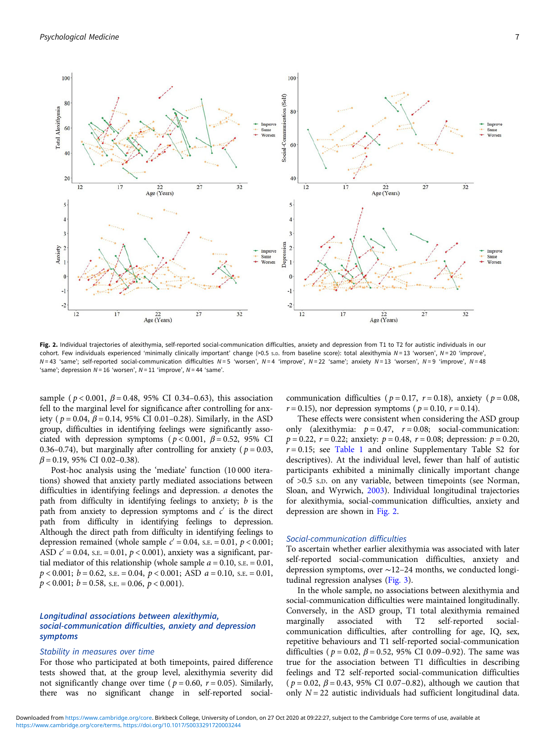

Fig. 2. Individual trajectories of alexithymia, self-reported social-communication difficulties, anxiety and depression from T1 to T2 for autistic individuals in our cohort. Few individuals experienced 'minimally clinically important' change (>0.5 s.p. from baseline score): total alexithymia  $N = 13$  'worsen',  $N = 20$  'improve',  $N=43$  'same'; self-reported social-communication difficulties  $N=5$  'worsen',  $N=4$  'improve',  $N=22$  'same'; anxiety  $N=13$  'worsen',  $N=9$  'improve',  $N=48$ 'same'; depression  $N = 16$  'worsen',  $N = 11$  'improve',  $N = 44$  'same'.

sample ( $p < 0.001$ ,  $\beta = 0.48$ , 95% CI 0.34–0.63), this association fell to the marginal level for significance after controlling for anxiety ( $p = 0.04$ ,  $\beta = 0.14$ , 95% CI 0.01–0.28). Similarly, in the ASD group, difficulties in identifying feelings were significantly associated with depression symptoms ( $p < 0.001$ ,  $\beta = 0.52$ , 95% CI 0.36–0.74), but marginally after controlling for anxiety ( $p = 0.03$ ,  $\beta$  = 0.19, 95% CI 0.02–0.38).

Post-hoc analysis using the 'mediate' function (10 000 iterations) showed that anxiety partly mediated associations between difficulties in identifying feelings and depression. a denotes the path from difficulty in identifying feelings to anxiety;  $b$  is the path from anxiety to depression symptoms and  $c'$  is the direct path from difficulty in identifying feelings to depression. Although the direct path from difficulty in identifying feelings to depression remained (whole sample  $c' = 0.04$ , s.e. = 0.01,  $p < 0.001$ ; ASD  $c' = 0.04$ , s.e. = 0.01, p < 0.001), anxiety was a significant, partial mediator of this relationship (whole sample  $a = 0.10$ , s.e.  $= 0.01$ ,  $p < 0.001$ ;  $b = 0.62$ , s.e.  $= 0.04$ ,  $p < 0.001$ ; ASD  $a = 0.10$ , s.e.  $= 0.01$ ,  $p < 0.001$ ;  $b = 0.58$ , s.e.  $= 0.06$ ,  $p < 0.001$ ).

## Longitudinal associations between alexithymia, social-communication difficulties, anxiety and depression symptoms

## Stability in measures over time

For those who participated at both timepoints, paired difference tests showed that, at the group level, alexithymia severity did not significantly change over time ( $p = 0.60$ ,  $r = 0.05$ ). Similarly, there was no significant change in self-reported social-

communication difficulties ( $p = 0.17$ ,  $r = 0.18$ ), anxiety ( $p = 0.08$ ,  $r = 0.15$ ), nor depression symptoms ( $p = 0.10$ ,  $r = 0.14$ ).

These effects were consistent when considering the ASD group only (alexithymia:  $p = 0.47$ ,  $r = 0.08$ ; social-communication:  $p = 0.22$ ,  $r = 0.22$ ; anxiety:  $p = 0.48$ ,  $r = 0.08$ ; depression:  $p = 0.20$ ,  $r = 0.15$ ; see [Table 1](#page-4-0) and online Supplementary Table S2 for descriptives). At the individual level, fewer than half of autistic participants exhibited a minimally clinically important change of >0.5 S.D. on any variable, between timepoints (see Norman, Sloan, and Wyrwich, [2003](#page-12-0)). Individual longitudinal trajectories for alexithymia, social-communication difficulties, anxiety and depression are shown in Fig. 2.

#### Social-communication difficulties

To ascertain whether earlier alexithymia was associated with later self-reported social-communication difficulties, anxiety and depression symptoms, over ∼12–24 months, we conducted longitudinal regression analyses ([Fig. 3\)](#page-8-0).

In the whole sample, no associations between alexithymia and social-communication difficulties were maintained longitudinally. Conversely, in the ASD group, T1 total alexithymia remained marginally associated with T2 self-reported socialcommunication difficulties, after controlling for age, IQ, sex, repetitive behaviours and T1 self-reported social-communication difficulties ( $p = 0.02$ ,  $\beta = 0.52$ , 95% CI 0.09–0.92). The same was true for the association between T1 difficulties in describing feelings and T2 self-reported social-communication difficulties  $(p = 0.02, \beta = 0.43, 95\% \text{ CI } 0.07 - 0.82)$ , although we caution that only  $N = 22$  autistic individuals had sufficient longitudinal data.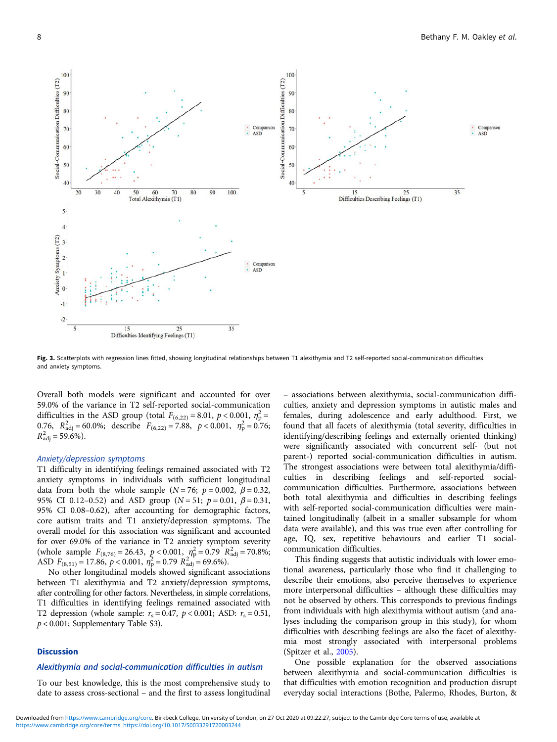<span id="page-8-0"></span>

Fig. 3. Scatterplots with regression lines fitted, showing longitudinal relationships between T1 alexithymia and T2 self-reported social-communication difficulties and anxiety symptoms.

Overall both models were significant and accounted for over 59.0% of the variance in T2 self-reported social-communication difficulties in the ASD group (total  $F_{(6,22)} = 8.01$ ,  $p < 0.001$ ,  $\eta_p^2 =$ 0.76,  $R_{\text{adj}}^2 = 60.0\%$ ; describe  $F_{(6,22)} = 7.88$ ,  $p < 0.001$ ,  $\eta_p^2 = 0.76$ ;  $R_{\text{adj}}^2 = 59.6\%$ ).

#### Anxiety/depression symptoms

T1 difficulty in identifying feelings remained associated with T2 anxiety symptoms in individuals with sufficient longitudinal data from both the whole sample ( $N = 76$ ;  $p = 0.002$ ,  $\beta = 0.32$ , 95% CI 0.12-0.52) and ASD group ( $N = 51$ ;  $p = 0.01$ ,  $\beta = 0.31$ , 95% CI 0.08–0.62), after accounting for demographic factors, core autism traits and T1 anxiety/depression symptoms. The overall model for this association was significant and accounted for over 69.0% of the variance in T2 anxiety symptom severity (whole sample  $F_{(8,76)} = 26.43$ ,  $p < 0.001$ ,  $\eta_p^2 = 0.79 \text{ R}^2_{\text{adj}} = 70.8\%$ ; ASD  $F_{(8,51)} = 17.86, p < 0.001, \eta_{\rm p}^2 = 0.79 R_{\rm adj}^2 = 69.6\%$ .

No other longitudinal models showed significant associations between T1 alexithymia and T2 anxiety/depression symptoms, after controlling for other factors. Nevertheless, in simple correlations, T1 difficulties in identifying feelings remained associated with T2 depression (whole sample:  $r_s = 0.47$ ,  $p < 0.001$ ; ASD:  $r_s = 0.51$ ,  $p < 0.001$ ; Supplementary Table S3).

## **Discussion**

## Alexithymia and social-communication difficulties in autism

To our best knowledge, this is the most comprehensive study to date to assess cross-sectional – and the first to assess longitudinal

– associations between alexithymia, social-communication difficulties, anxiety and depression symptoms in autistic males and females, during adolescence and early adulthood. First, we found that all facets of alexithymia (total severity, difficulties in identifying/describing feelings and externally oriented thinking) were significantly associated with concurrent self- (but not parent-) reported social-communication difficulties in autism. The strongest associations were between total alexithymia/difficulties in describing feelings and self-reported socialcommunication difficulties. Furthermore, associations between both total alexithymia and difficulties in describing feelings with self-reported social-communication difficulties were maintained longitudinally (albeit in a smaller subsample for whom data were available), and this was true even after controlling for age, IQ, sex, repetitive behaviours and earlier T1 socialcommunication difficulties.

This finding suggests that autistic individuals with lower emotional awareness, particularly those who find it challenging to describe their emotions, also perceive themselves to experience more interpersonal difficulties – although these difficulties may not be observed by others. This corresponds to previous findings from individuals with high alexithymia without autism (and analyses including the comparison group in this study), for whom difficulties with describing feelings are also the facet of alexithymia most strongly associated with interpersonal problems (Spitzer et al., [2005\)](#page-13-0).

One possible explanation for the observed associations between alexithymia and social-communication difficulties is that difficulties with emotion recognition and production disrupt everyday social interactions (Bothe, Palermo, Rhodes, Burton, &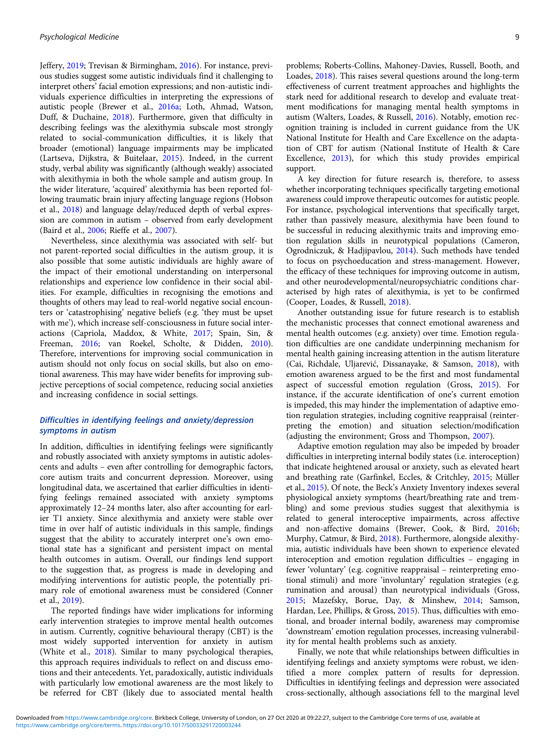Jeffery, [2019;](#page-11-0) Trevisan & Birmingham, [2016](#page-13-0)). For instance, previous studies suggest some autistic individuals find it challenging to interpret others' facial emotion expressions; and non-autistic individuals experience difficulties in interpreting the expressions of autistic people (Brewer et al., [2016a;](#page-11-0) Loth, Ahmad, Watson, Duff, & Duchaine, [2018\)](#page-12-0). Furthermore, given that difficulty in describing feelings was the alexithymia subscale most strongly related to social-communication difficulties, it is likely that broader (emotional) language impairments may be implicated (Lartseva, Dijkstra, & Buitelaar, [2015\)](#page-12-0). Indeed, in the current study, verbal ability was significantly (although weakly) associated with alexithymia in both the whole sample and autism group. In the wider literature, 'acquired' alexithymia has been reported following traumatic brain injury affecting language regions (Hobson et al., [2018](#page-12-0)) and language delay/reduced depth of verbal expression are common in autism – observed from early development (Baird et al., [2006;](#page-11-0) Rieffe et al., [2007](#page-13-0)).

Nevertheless, since alexithymia was associated with self- but not parent-reported social difficulties in the autism group, it is also possible that some autistic individuals are highly aware of the impact of their emotional understanding on interpersonal relationships and experience low confidence in their social abilities. For example, difficulties in recognising the emotions and thoughts of others may lead to real-world negative social encounters or 'catastrophising' negative beliefs (e.g. 'they must be upset with me'), which increase self-consciousness in future social interactions (Capriola, Maddox, & White, [2017](#page-11-0); Spain, Sin, & Freeman, [2016;](#page-13-0) van Roekel, Scholte, & Didden, [2010\)](#page-13-0). Therefore, interventions for improving social communication in autism should not only focus on social skills, but also on emotional awareness. This may have wider benefits for improving subjective perceptions of social competence, reducing social anxieties and increasing confidence in social settings.

## Difficulties in identifying feelings and anxiety/depression symptoms in autism

In addition, difficulties in identifying feelings were significantly and robustly associated with anxiety symptoms in autistic adolescents and adults – even after controlling for demographic factors, core autism traits and concurrent depression. Moreover, using longitudinal data, we ascertained that earlier difficulties in identifying feelings remained associated with anxiety symptoms approximately 12–24 months later, also after accounting for earlier T1 anxiety. Since alexithymia and anxiety were stable over time in over half of autistic individuals in this sample, findings suggest that the ability to accurately interpret one's own emotional state has a significant and persistent impact on mental health outcomes in autism. Overall, our findings lend support to the suggestion that, as progress is made in developing and modifying interventions for autistic people, the potentially primary role of emotional awareness must be considered (Conner et al., [2019\)](#page-11-0).

The reported findings have wider implications for informing early intervention strategies to improve mental health outcomes in autism. Currently, cognitive behavioural therapy (CBT) is the most widely supported intervention for anxiety in autism (White et al., [2018](#page-13-0)). Similar to many psychological therapies, this approach requires individuals to reflect on and discuss emotions and their antecedents. Yet, paradoxically, autistic individuals with particularly low emotional awareness are the most likely to be referred for CBT (likely due to associated mental health problems; Roberts-Collins, Mahoney-Davies, Russell, Booth, and Loades, [2018\)](#page-13-0). This raises several questions around the long-term effectiveness of current treatment approaches and highlights the stark need for additional research to develop and evaluate treatment modifications for managing mental health symptoms in autism (Walters, Loades, & Russell, [2016\)](#page-13-0). Notably, emotion recognition training is included in current guidance from the UK National Institute for Health and Care Excellence on the adaptation of CBT for autism (National Institute of Health & Care Excellence, [2013\)](#page-12-0), for which this study provides empirical support.

A key direction for future research is, therefore, to assess whether incorporating techniques specifically targeting emotional awareness could improve therapeutic outcomes for autistic people. For instance, psychological interventions that specifically target, rather than passively measure, alexithymia have been found to be successful in reducing alexithymic traits and improving emotion regulation skills in neurotypical populations (Cameron, Ogrodniczuk, & Hadjipavlou, [2014\)](#page-11-0). Such methods have tended to focus on psychoeducation and stress-management. However, the efficacy of these techniques for improving outcome in autism, and other neurodevelopmental/neuropsychiatric conditions characterised by high rates of alexithymia, is yet to be confirmed (Cooper, Loades, & Russell, [2018](#page-11-0)).

Another outstanding issue for future research is to establish the mechanistic processes that connect emotional awareness and mental health outcomes (e.g. anxiety) over time. Emotion regulation difficulties are one candidate underpinning mechanism for mental health gaining increasing attention in the autism literature (Cai, Richdale, Uljarević, Dissanayake, & Samson, [2018\)](#page-11-0), with emotion awareness argued to be the first and most fundamental aspect of successful emotion regulation (Gross, [2015](#page-12-0)). For instance, if the accurate identification of one's current emotion is impeded, this may hinder the implementation of adaptive emotion regulation strategies, including cognitive reappraisal (reinterpreting the emotion) and situation selection/modification (adjusting the environment; Gross and Thompson, [2007\)](#page-12-0).

Adaptive emotion regulation may also be impeded by broader difficulties in interpreting internal bodily states (i.e. interoception) that indicate heightened arousal or anxiety, such as elevated heart and breathing rate (Garfinkel, Eccles, & Critchley, [2015](#page-11-0); Müller et al., [2015\)](#page-12-0). Of note, the Beck's Anxiety Inventory indexes several physiological anxiety symptoms (heart/breathing rate and trembling) and some previous studies suggest that alexithymia is related to general interoceptive impairments, across affective and non-affective domains (Brewer, Cook, & Bird, [2016b](#page-11-0); Murphy, Catmur, & Bird, [2018\)](#page-12-0). Furthermore, alongside alexithymia, autistic individuals have been shown to experience elevated interoception and emotion regulation difficulties – engaging in fewer 'voluntary' (e.g. cognitive reappraisal – reinterpreting emotional stimuli) and more 'involuntary' regulation strategies (e.g. rumination and arousal) than neurotypical individuals (Gross, [2015](#page-12-0); Mazefsky, Borue, Day, & Minshew, [2014;](#page-12-0) Samson, Hardan, Lee, Phillips, & Gross, [2015](#page-13-0)). Thus, difficulties with emotional, and broader internal bodily, awareness may compromise 'downstream' emotion regulation processes, increasing vulnerability for mental health problems such as anxiety.

Finally, we note that while relationships between difficulties in identifying feelings and anxiety symptoms were robust, we identified a more complex pattern of results for depression. Difficulties in identifying feelings and depression were associated cross-sectionally, although associations fell to the marginal level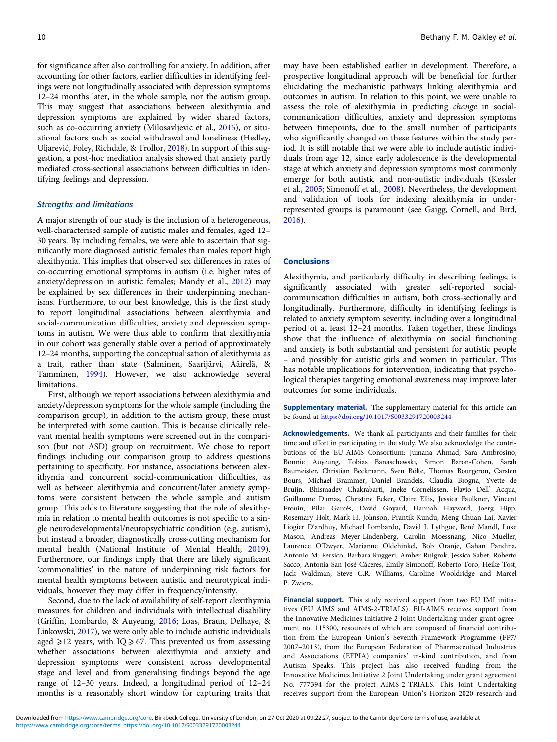for significance after also controlling for anxiety. In addition, after accounting for other factors, earlier difficulties in identifying feelings were not longitudinally associated with depression symptoms 12–24 months later, in the whole sample, nor the autism group. This may suggest that associations between alexithymia and depression symptoms are explained by wider shared factors, such as co-occurring anxiety (Milosavljevic et al., [2016\)](#page-12-0), or situational factors such as social withdrawal and loneliness (Hedley, Uljarević, Foley, Richdale, & Trollor, [2018](#page-12-0)). In support of this suggestion, a post-hoc mediation analysis showed that anxiety partly mediated cross-sectional associations between difficulties in identifying feelings and depression.

## Strengths and limitations

A major strength of our study is the inclusion of a heterogeneous, well-characterised sample of autistic males and females, aged 12– 30 years. By including females, we were able to ascertain that significantly more diagnosed autistic females than males report high alexithymia. This implies that observed sex differences in rates of co-occurring emotional symptoms in autism (i.e. higher rates of anxiety/depression in autistic females; Mandy et al., [2012\)](#page-12-0) may be explained by sex differences in their underpinning mechanisms. Furthermore, to our best knowledge, this is the first study to report longitudinal associations between alexithymia and social-communication difficulties, anxiety and depression symptoms in autism. We were thus able to confirm that alexithymia in our cohort was generally stable over a period of approximately 12–24 months, supporting the conceptualisation of alexithymia as a trait, rather than state (Salminen, Saarijärvi, Ääirelä, & Tamminen, [1994\)](#page-13-0). However, we also acknowledge several limitations.

First, although we report associations between alexithymia and anxiety/depression symptoms for the whole sample (including the comparison group), in addition to the autism group, these must be interpreted with some caution. This is because clinically relevant mental health symptoms were screened out in the comparison (but not ASD) group on recruitment. We chose to report findings including our comparison group to address questions pertaining to specificity. For instance, associations between alexithymia and concurrent social-communication difficulties, as well as between alexithymia and concurrent/later anxiety symptoms were consistent between the whole sample and autism group. This adds to literature suggesting that the role of alexithymia in relation to mental health outcomes is not specific to a single neurodevelopmental/neuropsychiatric condition (e.g. autism), but instead a broader, diagnostically cross-cutting mechanism for mental health (National Institute of Mental Health, [2019\)](#page-12-0). Furthermore, our findings imply that there are likely significant 'commonalities' in the nature of underpinning risk factors for mental health symptoms between autistic and neurotypical individuals, however they may differ in frequency/intensity.

Second, due to the lack of availability of self-report alexithymia measures for children and individuals with intellectual disability (Griffin, Lombardo, & Auyeung, [2016](#page-11-0); Loas, Braun, Delhaye, & Linkowski, [2017](#page-12-0)), we were only able to include autistic individuals aged  $\geq$ 12 years, with IQ  $\geq$  67. This prevented us from assessing whether associations between alexithymia and anxiety and depression symptoms were consistent across developmental stage and level and from generalising findings beyond the age range of 12–30 years. Indeed, a longitudinal period of 12–24 months is a reasonably short window for capturing traits that

may have been established earlier in development. Therefore, a prospective longitudinal approach will be beneficial for further elucidating the mechanistic pathways linking alexithymia and outcomes in autism. In relation to this point, we were unable to assess the role of alexithymia in predicting change in socialcommunication difficulties, anxiety and depression symptoms between timepoints, due to the small number of participants who significantly changed on these features within the study period. It is still notable that we were able to include autistic individuals from age 12, since early adolescence is the developmental stage at which anxiety and depression symptoms most commonly emerge for both autistic and non-autistic individuals (Kessler et al., [2005;](#page-12-0) Simonoff et al., [2008](#page-13-0)). Nevertheless, the development and validation of tools for indexing alexithymia in underrepresented groups is paramount (see Gaigg, Cornell, and Bird, [2016\)](#page-11-0).

#### Conclusions

Alexithymia, and particularly difficulty in describing feelings, is significantly associated with greater self-reported socialcommunication difficulties in autism, both cross-sectionally and longitudinally. Furthermore, difficulty in identifying feelings is related to anxiety symptom severity, including over a longitudinal period of at least 12–24 months. Taken together, these findings show that the influence of alexithymia on social functioning and anxiety is both substantial and persistent for autistic people – and possibly for autistic girls and women in particular. This has notable implications for intervention, indicating that psychological therapies targeting emotional awareness may improve later outcomes for some individuals.

**Supplementary material.** The supplementary material for this article can be found at <https://doi.org/10.1017/S0033291720003244>

Acknowledgements. We thank all participants and their families for their time and effort in participating in the study. We also acknowledge the contributions of the EU-AIMS Consortium: Jumana Ahmad, Sara Ambrosino, Bonnie Auyeung, Tobias Banaschewski, Simon Baron-Cohen, Sarah Baumeister, Christian Beckmann, Sven Bölte, Thomas Bourgeron, Carsten Bours, Michael Brammer, Daniel Brandeis, Claudia Brogna, Yvette de Bruijn, Bhismadev Chakrabarti, Ineke Cornelissen, Flavio Dell' Acqua, Guillaume Dumas, Christine Ecker, Claire Ellis, Jessica Faulkner, Vincent Frouin, Pilar Garcés, David Goyard, Hannah Hayward, Joerg Hipp, Rosemary Holt, Mark H. Johnson, Prantik Kundu, Meng-Chuan Lai, Xavier Liogier D'ardhuy, Michael Lombardo, David J. Lythgoe, René Mandl, Luke Mason, Andreas Meyer-Lindenberg, Carolin Moessnang, Nico Mueller, Laurence O'Dwyer, Marianne Oldehinkel, Bob Oranje, Gahan Pandina, Antonio M. Persico, Barbara Ruggeri, Amber Ruigrok, Jessica Sabet, Roberto Sacco, Antonia San José Cáceres, Emily Simonoff, Roberto Toro, Heike Tost, Jack Waldman, Steve C.R. Williams, Caroline Wooldridge and Marcel P. Zwiers.

Financial support. This study received support from two EU IMI initiatives (EU AIMS and AIMS-2-TRIALS). EU-AIMS receives support from the Innovative Medicines Initiative 2 Joint Undertaking under grant agreement no. 115300, resources of which are composed of financial contribution from the European Union's Seventh Framework Programme (FP7/ 2007–2013), from the European Federation of Pharmaceutical Industries and Associations (EFPIA) companies' in-kind contribution, and from Autism Speaks. This project has also received funding from the Innovative Medicines Initiative 2 Joint Undertaking under grant agreement No. 777394 for the project AIMS-2-TRIALS. This Joint Undertaking receives support from the European Union's Horizon 2020 research and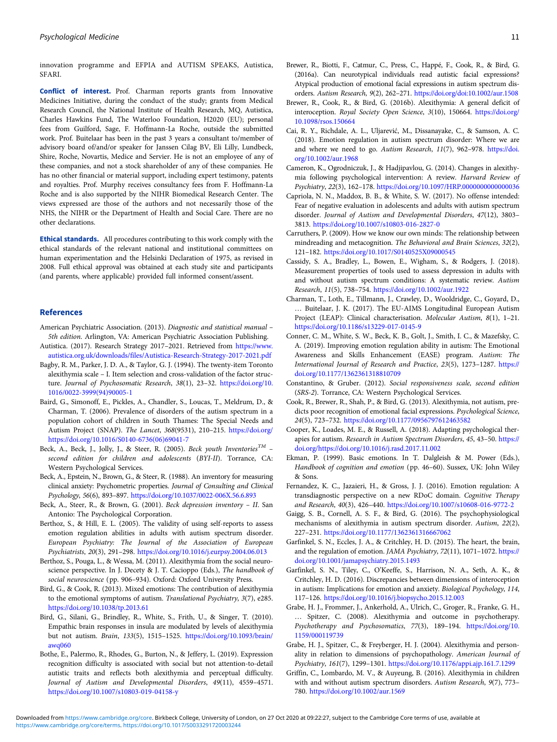<span id="page-11-0"></span>innovation programme and EFPIA and AUTISM SPEAKS, Autistica, SFARI.

Conflict of interest. Prof. Charman reports grants from Innovative Medicines Initiative, during the conduct of the study; grants from Medical Research Council, the National Institute of Health Research, MQ, Autistica, Charles Hawkins Fund, The Waterloo Foundation, H2020 (EU); personal fees from Guilford, Sage, F. Hoffmann-La Roche, outside the submitted work. Prof. Buitelaar has been in the past 3 years a consultant to/member of advisory board of/and/or speaker for Janssen Cilag BV, Eli Lilly, Lundbeck, Shire, Roche, Novartis, Medice and Servier. He is not an employee of any of these companies, and not a stock shareholder of any of these companies. He has no other financial or material support, including expert testimony, patents and royalties. Prof. Murphy receives consultancy fees from F. Hoffmann-La Roche and is also supported by the NIHR Biomedical Research Center. The views expressed are those of the authors and not necessarily those of the NHS, the NIHR or the Department of Health and Social Care. There are no other declarations.

Ethical standards. All procedures contributing to this work comply with the ethical standards of the relevant national and institutional committees on human experimentation and the Helsinki Declaration of 1975, as revised in 2008. Full ethical approval was obtained at each study site and participants (and parents, where applicable) provided full informed consent/assent.

#### References

- American Psychiatric Association. (2013). Diagnostic and statistical manual 5th edition. Arlington, VA: American Psychiatric Association Publishing. Autistica. (2017). Research Strategy 2017–2021. Retrieved from [https://www.](https://www.autistica.org.uk/downloads/files/Autistica-Research-Strategy-2017-2021.pdf)
- [autistica.org.uk/downloads/files/Autistica-Research-Strategy-2017-2021.pdf](https://www.autistica.org.uk/downloads/files/Autistica-Research-Strategy-2017-2021.pdf)
- Bagby, R. M., Parker, J. D. A., & Taylor, G. J. (1994). The twenty-item Toronto alexithymia scale – I. Item selection and cross-validation of the factor structure. Journal of Psychosomatic Research, 38(1), 23–32. [https://doi.org/10.](https://doi.org/10.1016/0022-3999(94)90005-1) [1016/0022-3999\(94\)90005-1](https://doi.org/10.1016/0022-3999(94)90005-1)
- Baird, G., Simonoff, E., Pickles, A., Chandler, S., Loucas, T., Meldrum, D., & Charman, T. (2006). Prevalence of disorders of the autism spectrum in a population cohort of children in South Thames: The Special Needs and Autism Project (SNAP). The Lancet, 368(9531), 210–215. [https://doi.org/](https://doi.org/https://doi.org/10.1016/S0140-6736(06)69041-7) [https://doi.org/10.1016/S0140-6736\(06\)69041-7](https://doi.org/https://doi.org/10.1016/S0140-6736(06)69041-7)
- Beck, A., Beck, J., Jolly, J., & Steer, R. (2005). Beck youth Inventories<sup>TM</sup> second edition for children and adolescents (BYI-II). Torrance, CA: Western Psychological Services.
- Beck, A., Epstein, N., Brown, G., & Steer, R. (1988). An inventory for measuring clinical anxiety: Psychometric properties. Journal of Consulting and Clinical Psychology, 56(6), 893–897. <https://doi.org/10.1037/0022-006X.56.6.893>
- Beck, A., Steer, R., & Brown, G. (2001). Beck depression inventory II. San Antonio: The Psychological Corporation.
- Berthoz, S., & Hill, E. L. (2005). The validity of using self-reports to assess emotion regulation abilities in adults with autism spectrum disorder. European Psychiatry: The Journal of the Association of European Psychiatrists, 20(3), 291–298. <https://doi.org/10.1016/j.eurpsy.2004.06.013>
- Berthoz, S., Pouga, L., & Wessa, M. (2011). Alexithymia from the social neuroscience perspective. In J. Decety & J. T. Cacioppo (Eds.), The handbook of social neuroscience (pp. 906–934). Oxford: Oxford University Press.
- Bird, G., & Cook, R. (2013). Mixed emotions: The contribution of alexithymia to the emotional symptoms of autism. Translational Psychiatry, 3(7), e285. <https://doi.org/10.1038/tp.2013.61>
- Bird, G., Silani, G., Brindley, R., White, S., Frith, U., & Singer, T. (2010). Empathic brain responses in insula are modulated by levels of alexithymia but not autism. Brain, 133(5), 1515–1525. [https://doi.org/10.1093/brain/](https://doi.org/10.1093/brain/awq060) [awq060](https://doi.org/10.1093/brain/awq060)
- Bothe, E., Palermo, R., Rhodes, G., Burton, N., & Jeffery, L. (2019). Expression recognition difficulty is associated with social but not attention-to-detail autistic traits and reflects both alexithymia and perceptual difficulty. Journal of Autism and Developmental Disorders, 49(11), 4559–4571. <https://doi.org/10.1007/s10803-019-04158-y>
- Brewer, R., Biotti, F., Catmur, C., Press, C., Happé, F., Cook, R., & Bird, G. (2016a). Can neurotypical individuals read autistic facial expressions? Atypical production of emotional facial expressions in autism spectrum disorders. Autism Research, 9(2), 262–271. <https://doi.org/doi:10.1002/aur.1508>
- Brewer, R., Cook, R., & Bird, G. (2016b). Alexithymia: A general deficit of interoception. Royal Society Open Science, 3(10), 150664. [https://doi.org/](https://doi.org/10.1098/rsos.150664) [10.1098/rsos.150664](https://doi.org/10.1098/rsos.150664)
- Cai, R. Y., Richdale, A. L., Uljarević, M., Dissanayake, C., & Samson, A. C. (2018). Emotion regulation in autism spectrum disorder: Where we are and where we need to go. Autism Research, 11(7), 962–978. [https://doi.](https://doi.org/10.1002/aur.1968) [org/10.1002/aur.1968](https://doi.org/10.1002/aur.1968)
- Cameron, K., Ogrodniczuk, J., & Hadjipavlou, G. (2014). Changes in alexithymia following psychological intervention: A review. Harvard Review of Psychiatry, 22(3), 162–178. <https://doi.org/10.1097/HRP.0000000000000036>
- Capriola, N. N., Maddox, B. B., & White, S. W. (2017). No offense intended: Fear of negative evaluation in adolescents and adults with autism spectrum disorder. Journal of Autism and Developmental Disorders, 47(12), 3803– 3813. <https://doi.org/10.1007/s10803-016-2827-0>
- Carruthers, P. (2009). How we know our own minds: The relationship between mindreading and metacognition. The Behavioral and Brain Sciences, 32(2), 121–182. <https://doi.org/10.1017/S0140525X09000545>
- Cassidy, S. A., Bradley, L., Bowen, E., Wigham, S., & Rodgers, J. (2018). Measurement properties of tools used to assess depression in adults with and without autism spectrum conditions: A systematic review. Autism Research, 11(5), 738–754. <https://doi.org/10.1002/aur.1922>
- Charman, T., Loth, E., Tillmann, J., Crawley, D., Wooldridge, C., Goyard, D., … Buitelaar, J. K. (2017). The EU-AIMS Longitudinal European Autism Project (LEAP): Clinical characterisation. Molecular Autism, 8(1), 1–21. <https://doi.org/10.1186/s13229-017-0145-9>
- Conner, C. M., White, S. W., Beck, K. B., Golt, J., Smith, I. C., & Mazefsky, C. A. (2019). Improving emotion regulation ability in autism: The Emotional Awareness and Skills Enhancement (EASE) program. Autism: The International Journal of Research and Practice, 23(5), 1273–1287. [https://](https://doi.org/10.1177/1362361318810709) [doi.org/10.1177/1362361318810709](https://doi.org/10.1177/1362361318810709)
- Constantino, & Gruber. (2012). Social responsiveness scale, second edition (SRS-2). Torrance, CA: Western Psychological Services.
- Cook, R., Brewer, R., Shah, P., & Bird, G. (2013). Alexithymia, not autism, predicts poor recognition of emotional facial expressions. Psychological Science, 24(5), 723–732. <https://doi.org/10.1177/0956797612463582>
- Cooper, K., Loades, M. E., & Russell, A. (2018). Adapting psychological therapies for autism. Research in Autism Spectrum Disorders, 45, 43-50. [https://](https://doi.org/https://doi.org/10.1016/j.rasd.2017.11.002) [doi.org/https://doi.org/10.1016/j.rasd.2017.11.002](https://doi.org/https://doi.org/10.1016/j.rasd.2017.11.002)
- Ekman, P. (1999). Basic emotions. In T. Dalgleish & M. Power (Eds.), Handbook of cognition and emotion (pp. 46–60). Sussex, UK: John Wiley & Sons.
- Fernandez, K. C., Jazaieri, H., & Gross, J. J. (2016). Emotion regulation: A transdiagnostic perspective on a new RDoC domain. Cognitive Therapy and Research, 40(3), 426–440. <https://doi.org/10.1007/s10608-016-9772-2>
- Gaigg, S. B., Cornell, A. S. F., & Bird, G. (2016). The psychophysiological mechanisms of alexithymia in autism spectrum disorder. Autism, 22(2), 227–231. <https://doi.org/10.1177/1362361316667062>
- Garfinkel, S. N., Eccles, J. A., & Critchley, H. D. (2015). The heart, the brain, and the regulation of emotion. JAMA Psychiatry, 72(11), 1071-1072. [https://](https://doi.org/10.1001/jamapsychiatry.2015.1493) [doi.org/10.1001/jamapsychiatry.2015.1493](https://doi.org/10.1001/jamapsychiatry.2015.1493)
- Garfinkel, S. N., Tiley, C., O'Keeffe, S., Harrison, N. A., Seth, A. K., & Critchley, H. D. (2016). Discrepancies between dimensions of interoception in autism: Implications for emotion and anxiety. Biological Psychology, 114, 117–126. <https://doi.org/10.1016/j.biopsycho.2015.12.003>
- Grabe, H. J., Frommer, J., Ankerhold, A., Ulrich, C., Groger, R., Franke, G. H., … Spitzer, C. (2008). Alexithymia and outcome in psychotherapy. Psychotherapy and Psychosomatics, 77(3), 189–194. [https://doi.org/10.](https://doi.org/10.1159/000119739) [1159/000119739](https://doi.org/10.1159/000119739)
- Grabe, H. J., Spitzer, C., & Freyberger, H. J. (2004). Alexithymia and personality in relation to dimensions of psychopathology. American Journal of Psychiatry, 161(7), 1299–1301. <https://doi.org/10.1176/appi.ajp.161.7.1299>
- Griffin, C., Lombardo, M. V., & Auyeung, B. (2016). Alexithymia in children with and without autism spectrum disorders. Autism Research, 9(7), 773-780. <https://doi.org/10.1002/aur.1569>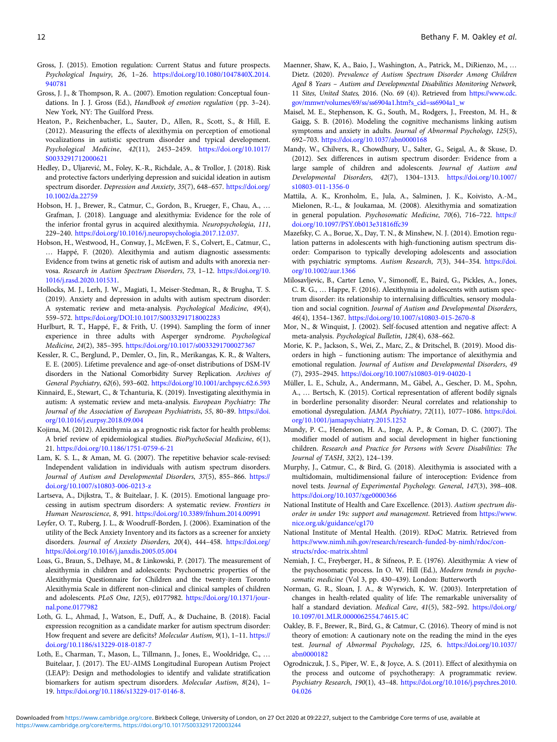- <span id="page-12-0"></span>Gross, J. (2015). Emotion regulation: Current Status and future prospects. Psychological Inquiry, 26, 1–26. [https://doi.org/10.1080/1047840X.2014.](https://doi.org/10.1080/1047840X.2014.940781) [940781](https://doi.org/10.1080/1047840X.2014.940781)
- Gross, J. J., & Thompson, R. A.. (2007). Emotion regulation: Conceptual foundations. In J. J. Gross (Ed.), Handbook of emotion regulation (pp. 3–24). New York, NY: The Guilford Press.
- Heaton, P., Reichenbacher, L., Sauter, D., Allen, R., Scott, S., & Hill, E. (2012). Measuring the effects of alexithymia on perception of emotional vocalizations in autistic spectrum disorder and typical development. Psychological Medicine, 42(11), 2453–2459. [https://doi.org/10.1017/](https://doi.org/10.1017/S0033291712000621) [S0033291712000621](https://doi.org/10.1017/S0033291712000621)
- Hedley, D., Uljarević, M., Foley, K.-R., Richdale, A., & Trollor, J. (2018). Risk and protective factors underlying depression and suicidal ideation in autism spectrum disorder. Depression and Anxiety, 35(7), 648-657. [https://doi.org/](https://doi.org/10.1002/da.22759) [10.1002/da.22759](https://doi.org/10.1002/da.22759)
- Hobson, H. J., Brewer, R., Catmur, C., Gordon, B., Krueger, F., Chau, A., … Grafman, J. (2018). Language and alexithymia: Evidence for the role of the inferior frontal gyrus in acquired alexithymia. Neuropsychologia, 111, 229–240. [https://doi.org/10.1016/j.neuropsychologia.2017.12.037.](https://doi.org/10.1016/j.neuropsychologia.2017.12.037)
- Hobson, H., Westwood, H., Conway, J., McEwen, F. S., Colvert, E., Catmur, C., … Happé, F. (2020). Alexithymia and autism diagnostic assessments: Evidence from twins at genetic risk of autism and adults with anorexia nervosa. Research in Autism Spectrum Disorders, 73, 1–12. [https://doi.org/10.](https://doi.org/10.1016/j.rasd.2020.101531) [1016/j.rasd.2020.101531](https://doi.org/10.1016/j.rasd.2020.101531).
- Hollocks, M. J., Lerh, J. W., Magiati, I., Meiser-Stedman, R., & Brugha, T. S. (2019). Anxiety and depression in adults with autism spectrum disorder: A systematic review and meta-analysis. Psychological Medicine, 49(4), 559–572. <https://doi.org/DOI:10.1017/S0033291718002283>
- Hurlburt, R. T., Happé, F., & Frith, U. (1994). Sampling the form of inner experience in three adults with Asperger syndrome. Psychological Medicine, 24(2), 385–395. <https://doi.org/10.1017/s0033291700027367>
- Kessler, R. C., Berglund, P., Demler, O., Jin, R., Merikangas, K. R., & Walters, E. E. (2005). Lifetime prevalence and age-of-onset distributions of DSM-IV disorders in the National Comorbidity Survey Replication. Archives of General Psychiatry, 62(6), 593–602. <https://doi.org/10.1001/archpsyc.62.6.593>
- Kinnaird, E., Stewart, C., & Tchanturia, K. (2019). Investigating alexithymia in autism: A systematic review and meta-analysis. European Psychiatry: The Journal of the Association of European Psychiatrists, 55, 80–89. [https://doi.](https://doi.org/10.1016/j.eurpsy.2018.09.004) [org/10.1016/j.eurpsy.2018.09.004](https://doi.org/10.1016/j.eurpsy.2018.09.004)
- Kojima, M. (2012). Alexithymia as a prognostic risk factor for health problems: A brief review of epidemiological studies. BioPsychoSocial Medicine, 6(1), 21. <https://doi.org/10.1186/1751-0759-6-21>
- Lam, K. S. L., & Aman, M. G. (2007). The repetitive behavior scale-revised: Independent validation in individuals with autism spectrum disorders. Journal of Autism and Developmental Disorders, 37(5), 855–866. [https://](https://doi.org/10.1007/s10803-006-0213-z) [doi.org/10.1007/s10803-006-0213-z](https://doi.org/10.1007/s10803-006-0213-z)
- Lartseva, A., Dijkstra, T., & Buitelaar, J. K. (2015). Emotional language processing in autism spectrum disorders: A systematic review. Frontiers in Human Neuroscience, 8, 991. <https://doi.org/10.3389/fnhum.2014.00991>
- Leyfer, O. T., Ruberg, J. L., & Woodruff-Borden, J. (2006). Examination of the utility of the Beck Anxiety Inventory and its factors as a screener for anxiety disorders. Journal of Anxiety Disorders, 20(4), 444–458. [https://doi.org/](https://doi.org/https://doi.org/10.1016/j.janxdis.2005.05.004) [https://doi.org/10.1016/j.janxdis.2005.05.004](https://doi.org/https://doi.org/10.1016/j.janxdis.2005.05.004)
- Loas, G., Braun, S., Delhaye, M., & Linkowski, P. (2017). The measurement of alexithymia in children and adolescents: Psychometric properties of the Alexithymia Questionnaire for Children and the twenty-item Toronto Alexithymia Scale in different non-clinical and clinical samples of children and adolescents. PLoS One, 12(5), e0177982. [https://doi.org/10.1371/jour](https://doi.org/10.1371/journal.pone.0177982)[nal.pone.0177982](https://doi.org/10.1371/journal.pone.0177982)
- Loth, G. L., Ahmad, J., Watson, E., Duff, A., & Duchaine, B. (2018). Facial expression recognition as a candidate marker for autism spectrum disorder: How frequent and severe are deficits? Molecular Autism, 9(1), 1-11. [https://](https://doi.org/10.1186/s13229-018-0187-7) [doi.org/10.1186/s13229-018-0187-7](https://doi.org/10.1186/s13229-018-0187-7)
- Loth, E., Charman, T., Mason, L., Tillmann, J., Jones, E., Wooldridge, C., … Buitelaar, J. (2017). The EU-AIMS Longitudinal European Autism Project (LEAP): Design and methodologies to identify and validate stratification biomarkers for autism spectrum disorders. Molecular Autism, 8(24), 1– 19. <https://doi.org/10.1186/s13229-017-0146-8>.
- Maenner, Shaw, K, A., Baio, J., Washington, A., Patrick, M., DiRienzo, M., … Dietz. (2020). Prevalence of Autism Spectrum Disorder Among Children Aged 8 Years – Autism and Developmental Disabilities Monitoring Network, 11 Sites, United States, 2016. (No. 69 (4)). Retrieved from [https://www.cdc.](https://www.cdc.gov/mmwr/volumes/69/ss/ss6904a1.htm?s_cid=ss6904a1_w) [gov/mmwr/volumes/69/ss/ss6904a1.htm?s\\_cid=ss6904a1\\_w](https://www.cdc.gov/mmwr/volumes/69/ss/ss6904a1.htm?s_cid=ss6904a1_w)
- Maisel, M. E., Stephenson, K. G., South, M., Rodgers, J., Freeston, M. H., & Gaigg, S. B. (2016). Modeling the cognitive mechanisms linking autism symptoms and anxiety in adults. Journal of Abnormal Psychology, 125(5), 692–703. <https://doi.org/10.1037/abn0000168>
- Mandy, W., Chilvers, R., Chowdhury, U., Salter, G., Seigal, A., & Skuse, D. (2012). Sex differences in autism spectrum disorder: Evidence from a large sample of children and adolescents. Journal of Autism and Developmental Disorders, 42(7), 1304–1313. [https://doi.org/10.1007/](https://doi.org/10.1007/s10803-011-1356-0) [s10803-011-1356-0](https://doi.org/10.1007/s10803-011-1356-0)
- Mattila, A. K., Kronholm, E., Jula, A., Salminen, J. K., Koivisto, A.-M., Mielonen, R.-L., & Joukamaa, M. (2008). Alexithymia and somatization in general population. Psychosomatic Medicine, 70(6), 716–722. [https://](https://doi.org/10.1097/PSY.0b013e31816ffc39) [doi.org/10.1097/PSY.0b013e31816ffc39](https://doi.org/10.1097/PSY.0b013e31816ffc39)
- Mazefsky, C. A., Borue, X., Day, T. N., & Minshew, N. J. (2014). Emotion regulation patterns in adolescents with high-functioning autism spectrum disorder: Comparison to typically developing adolescents and association with psychiatric symptoms. Autism Research, 7(3), 344–354. [https://doi.](https://doi.org/10.1002/aur.1366) [org/10.1002/aur.1366](https://doi.org/10.1002/aur.1366)
- Milosavljevic, B., Carter Leno, V., Simonoff, E., Baird, G., Pickles, A., Jones, C. R. G., … Happe, F. (2016). Alexithymia in adolescents with autism spectrum disorder: its relationship to internalising difficulties, sensory modulation and social cognition. Journal of Autism and Developmental Disorders, 46(4), 1354–1367. <https://doi.org/10.1007/s10803-015-2670-8>
- Mor, N., & Winquist, J. (2002). Self-focused attention and negative affect: A meta-analysis. Psychological Bulletin, 128(4), 638–662.
- Morie, K. P., Jackson, S., Wei, Z., Marc, Z., & Dritschel, B. (2019). Mood disorders in high – functioning autism: The importance of alexithymia and emotional regulation. Journal of Autism and Developmental Disorders, 49 (7), 2935–2945. <https://doi.org/10.1007/s10803-019-04020-1>
- Müller, L. E., Schulz, A., Andermann, M., Gäbel, A., Gescher, D. M., Spohn, A., … Bertsch, K. (2015). Cortical representation of afferent bodily signals in borderline personality disorder: Neural correlates and relationship to emotional dysregulation. JAMA Psychiatry, 72(11), 1077-1086. [https://doi.](https://doi.org/10.1001/jamapsychiatry.2015.1252) [org/10.1001/jamapsychiatry.2015.1252](https://doi.org/10.1001/jamapsychiatry.2015.1252)
- Mundy, P. C., Henderson, H. A., Inge, A. P., & Coman, D. C. (2007). The modifier model of autism and social development in higher functioning children. Research and Practice for Persons with Severe Disabilities: The Journal of TASH, 32(2), 124–139.
- Murphy, J., Catmur, C., & Bird, G. (2018). Alexithymia is associated with a multidomain, multidimensional failure of interoception: Evidence from novel tests. Journal of Experimental Psychology. General, 147(3), 398–408. <https://doi.org/10.1037/xge0000366>
- National Institute of Health and Care Excellence. (2013). Autism spectrum disorder in under 19s: support and management. Retrieved from [https://www.](https://www.nice.org.uk/guidance/cg170) [nice.org.uk/guidance/cg170](https://www.nice.org.uk/guidance/cg170)
- National Institute of Mental Health. (2019). RDoC Matrix. Retrieved from [https://www.nimh.nih.gov/research/research-funded-by-nimh/rdoc/con](https://www.nimh.nih.gov/research/research-funded-by-nimh/rdoc/constructs/rdoc-matrix.shtml)[structs/rdoc-matrix.shtml](https://www.nimh.nih.gov/research/research-funded-by-nimh/rdoc/constructs/rdoc-matrix.shtml)
- Nemiah, J. C., Freyberger, H., & Sifneos, P. E. (1976). Alexithymia: A view of the psychosomatic process. In O. W. Hill (Ed.), Modern trends in psychosomatic medicine (Vol 3, pp. 430–439). London: Butterworth
- Norman, G. R., Sloan, J. A., & Wyrwich, K. W. (2003). Interpretation of changes in health-related quality of life: The remarkable universality of half a standard deviation. Medical Care, 41(5), 582–592. [https://doi.org/](https://doi.org/10.1097/01.MLR.0000062554.74615.4C) [10.1097/01.MLR.0000062554.74615.4C](https://doi.org/10.1097/01.MLR.0000062554.74615.4C)
- Oakley, B. F., Brewer, R., Bird, G., & Catmur, C. (2016). Theory of mind is not theory of emotion: A cautionary note on the reading the mind in the eyes test. Journal of Abnormal Psychology, 125, 6. [https://doi.org/10.1037/](https://doi.org/10.1037/abn0000182) [abn0000182](https://doi.org/10.1037/abn0000182)
- Ogrodniczuk, J. S., Piper, W. E., & Joyce, A. S. (2011). Effect of alexithymia on the process and outcome of psychotherapy: A programmatic review. Psychiatry Research, 190(1), 43–48. [https://doi.org/10.1016/j.psychres.2010.](https://doi.org/10.1016/j.psychres.2010.04.026) [04.026](https://doi.org/10.1016/j.psychres.2010.04.026)